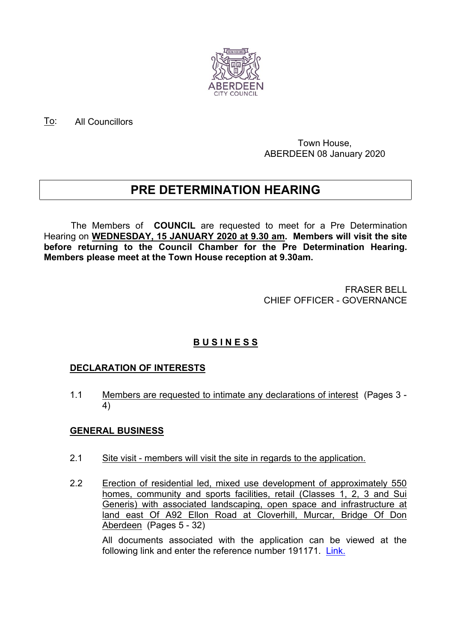

To: All Councillors

#### Town House, ABERDEEN 08 January 2020

# **PRE DETERMINATION HEARING**

The Members of **COUNCIL** are requested to meet for a Pre Determination Hearing on **WEDNESDAY, 15 JANUARY 2020 at 9.30 am. Members will visit the site before returning to the Council Chamber for the Pre Determination Hearing. Members please meet at the Town House reception at 9.30am.**

> FRASER BELL CHIEF OFFICER - GOVERNANCE

# **B U S I N E S S**

## **DECLARATION OF INTERESTS**

1.1 Members are requested to intimate any declarations of interest (Pages 3 - 4)

## **GENERAL BUSINESS**

- 2.1 Site visit members will visit the site in regards to the application.
- 2.2 Erection of residential led, mixed use development of approximately 550 homes, community and sports facilities, retail (Classes 1, 2, 3 and Sui Generis) with associated landscaping, open space and infrastructure at land east Of A92 Ellon Road at Cloverhill, Murcar, Bridge Of Don Aberdeen (Pages 5 - 32)

All documents associated with the application can be viewed at the following link and enter the reference number 191171. [Link.](https://publicaccess.aberdeencity.gov.uk/online-applications/applicationDetails.do?keyVal=PV33LQBZI0N00&activeTab=summary)